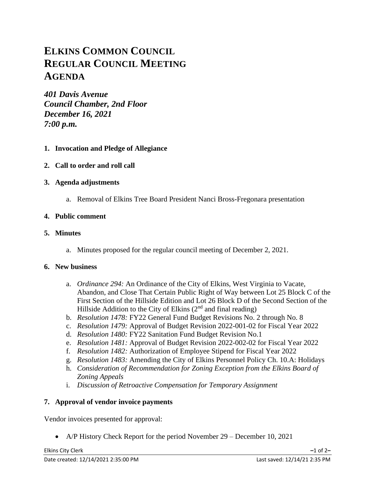# **ELKINS COMMON COUNCIL REGULAR COUNCIL MEETING AGENDA**

*401 Davis Avenue Council Chamber, 2nd Floor December 16, 2021 7:00 p.m.*

- **1. Invocation and Pledge of Allegiance**
- **2. Call to order and roll call**
- **3. Agenda adjustments**
	- a. Removal of Elkins Tree Board President Nanci Bross-Fregonara presentation

## **4. Public comment**

### **5. Minutes**

a. Minutes proposed for the regular council meeting of December 2, 2021.

### **6. New business**

- a. *Ordinance 294:* An Ordinance of the City of Elkins, West Virginia to Vacate, Abandon, and Close That Certain Public Right of Way between Lot 25 Block C of the First Section of the Hillside Edition and Lot 26 Block D of the Second Section of the Hillside Addition to the City of Elkins  $(2<sup>nd</sup>$  and final reading)
- b. *Resolution 1478:* FY22 General Fund Budget Revisions No. 2 through No. 8
- c. *Resolution 1479:* Approval of Budget Revision 2022-001-02 for Fiscal Year 2022
- d. *Resolution 1480:* FY22 Sanitation Fund Budget Revision No.1
- e. *Resolution 1481:* Approval of Budget Revision 2022-002-02 for Fiscal Year 2022
- f. *Resolution 1482:* Authorization of Employee Stipend for Fiscal Year 2022
- g. *Resolution 1483:* Amending the City of Elkins Personnel Policy Ch. 10.A: Holidays
- h. *Consideration of Recommendation for Zoning Exception from the Elkins Board of Zoning Appeals*
- i. *Discussion of Retroactive Compensation for Temporary Assignment*

## **7. Approval of vendor invoice payments**

Vendor invoices presented for approval:

• A/P History Check Report for the period November 29 – December 10, 2021